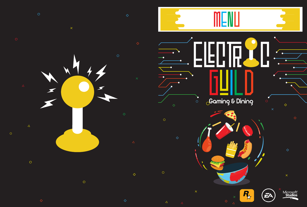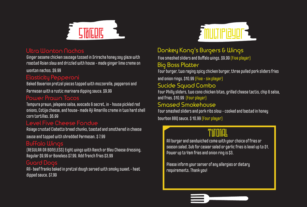

#### **Ultra Wonton Nachos**

Ginger sesame chicken sausage tossed in Sriracha honey soy glaze with roasted Asian slaw and drizzled with house - made ginger lime creme on

wonton nachos. \$9.99

# **Elasticity Pepperoni**

Baked Bavarion pretzel pieces topped with mozzerella, pepperoni and

Parmesan with a rustic marinara dipping sauce. \$9.99

#### **Power Prawn Tacos**

Tempura prawn, jalapeno salsa, avocado & secret, in - house pickled red onions, Cotija cheese, and house- made Aji Amarillo creme in two hard shell corn tortillas. \$6.99

#### **Level Five Cheese Fondue**

Asiage crusted Ciabatto bread chunks, toasted and smothered in cheese

sause and topped with shredded Parmesan. \$ 7.99

## **Buffalo Wings**

(REGULAR OR BONELESS) Eight wings with Ranch or Bleu Cheese dressing. Regular \$9.99 or Boneless \$7.99. Add french fries \$3.99

#### **Guard Dogs**

All- beef franks baked in pretzel dough served with smoky sweet - heat dipped sauce. \$7.99



# **Donkey Kong's Burgers & Wings**

Five smashed sliders and Buffalo wings. \$9.99 (Five player)

## **Big Boss Platter**

Four burger, two raging spicy chicken burger, three pulled pork sliders fries

and onion rings. \$10.99 (Five - six player)

# **Sucide Squad Combo**

Four Philly sliders, two cono chicken bites, grilled cheese tactis, chip & salsa, and fries. \$10.99 (Four player)

#### **Smased Smokehouse**

Four smashed sliders and pork ribs slow - cooked and basted in honey bourbon BBO sauce. \$ 10.99 (Four player)

All burger and sandwiched come with your choice of fries or season salad. Sub for casear salad or garlic fries is level up to \$1. Power up to Yam fries and onion ring is \$3.

 Please inform your server of any allergies or dietary requirements. Thank you!

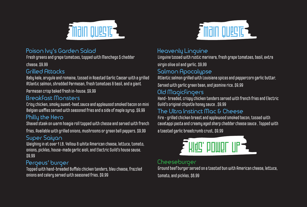

## **Poison Ivy's Garden Salad**

Fresh greens and grape tomatoes, topped with Manchego \$ cheddar

cheese. \$9.99

## **Grilled Attacks**

Baby kale, arugule and romaine, tossed in Roasted Garlic Caesar with a grilled Atlantic salmon, shredded Parmesan, fresh tomatoes & basil, and a giant

Parmesan crisp baked fresh in-house. \$9.99

#### **Breakfast Monsters**

Crisy chicken, smoky sweet-heat sauce and applewood smoked bacon on mini Belgian waffles served with seasoned fries and a side of maple survo. \$9.99

## **Philly the Hero**

Shaved steak on warm hoagie roll topped with chesse and served with french

fries. Available with grilled onions, mushrooms or green bell peppers. \$9.99

## **Super Saiyan**

Weighing in at over 1 LB. Yellow & white American cheese, lettuce, tomato, onions, pickles, house-made garlic aioli, and Electric Guild's house sause. \$9.99

## **Pergeus' burger**

Topped with hand-breaded Buffalo chicken tenders, bleu cheese, frazzled onions and celery served with seasoned fries. \$9.99



## **Heavenly Linguine**

Linguine tossed with rustic marinara, fresh grape tomatoes, basil, extra

virgin olive oil and garlic. \$9.99

#### **Salmon Apocalypse**

Atlantic salmon grilled with Louisiana spices and peppercorn garlic butter.

Served with garlic green bean, and jasmine rice. \$9.99

#### **Old Magicfingers**

Hand- breaded, crispy chicken tenders served with french fries and Electric Guild's original chipotle honey sauce . \$9.99

#### **The Ultra Instinct Mac & Cheese**

Fire - grilled chicken breast and applewood smoked bacon, tossed with cavatappi pasta and creamy aged sharp cheddar cheese sauce . Topped with a toasted garlic breadcrumb crust. \$9.99



#### **Cheeseburger**

Ground beef burger served on a toasted bun with American cheese, lettuce, tomato, and pickles. \$6.99